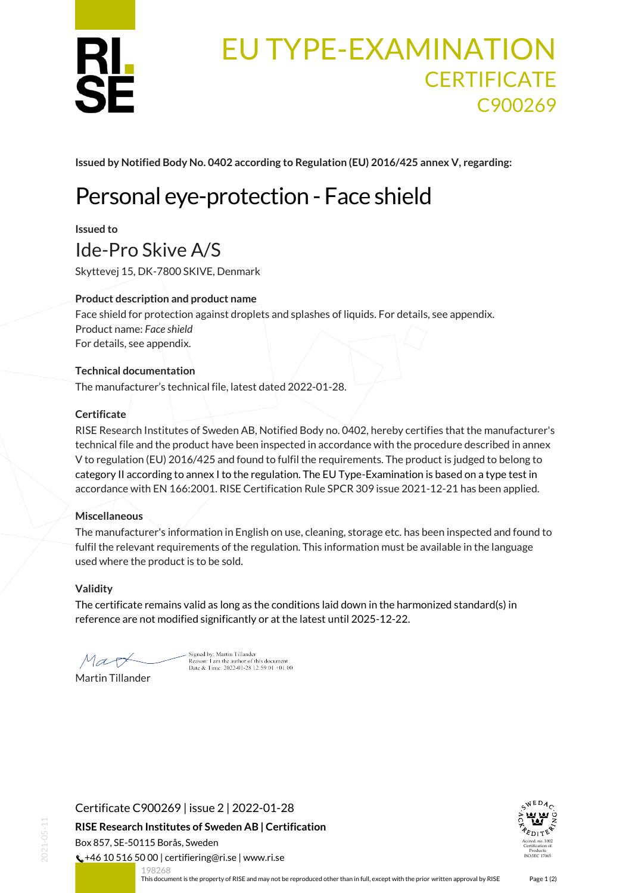

# EU TYPE-EXAMINATION **CERTIFICATE** C900269

**Issued by Notified Body No. 0402 according to Regulation (EU) 2016/425 annex V, regarding:**

# Personal eye-protection - Face shield

**Issued to**

# Ide-Pro Skive A/S

Skyttevej 15, DK-7800 SKIVE, Denmark

## **Product description and product name**

Face shield for protection against droplets and splashes of liquids. For details, see appendix. Product name: *Face shield* For details, see appendix.

## **Technical documentation**

The manufacturer's technical file, latest dated 2022-01-28.

## **Certificate**

RISE Research Institutes of Sweden AB, Notified Body no. 0402, hereby certifies that the manufacturer's technical file and the product have been inspected in accordance with the procedure described in annex V to regulation (EU) 2016/425 and found to fulfil the requirements. The product is judged to belong to category II according to annex I to the regulation. The EU Type-Examination is based on a type test in accordance with EN 166:2001. RISE Certification Rule SPCR 309 issue 2021-12-21 has been applied.

## **Miscellaneous**

The manufacturer's information in English on use, cleaning, storage etc. has been inspected and found to fulfil the relevant requirements of the regulation. This information must be available in the language used where the product is to be sold.

#### **Validity**

The certificate remains valid as long as the conditions laid down in the harmonized standard(s) in reference are not modified significantly or at the latest until 2025-12-22.

Mart Martin Tillander

Signed by: Martin Tillander<br>Reason: I am the author of this document<br>Date & Time: 2022-01-28 12:59:01 +01:00



198268



<span id="page-0-0"></span>